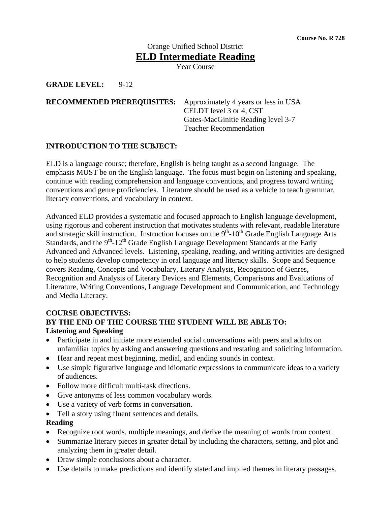# Orange Unified School District **ELD Intermediate Reading**

Year Course

#### **GRADE LEVEL:** 9-12

#### **RECOMMENDED PREREQUISITES:** Approximately 4 years or less in USA CELDT level 3 or 4, CST Gates-MacGinitie Reading level 3-7 Teacher Recommendation

### **INTRODUCTION TO THE SUBJECT:**

ELD is a language course; therefore, English is being taught as a second language. The emphasis MUST be on the English language. The focus must begin on listening and speaking, continue with reading comprehension and language conventions, and progress toward writing conventions and genre proficiencies. Literature should be used as a vehicle to teach grammar, literacy conventions, and vocabulary in context.

Advanced ELD provides a systematic and focused approach to English language development, using rigorous and coherent instruction that motivates students with relevant, readable literature and strategic skill instruction. Instruction focuses on the  $9<sup>th</sup>$ -10<sup>th</sup> Grade English Language Arts Standards, and the  $9<sup>th</sup>$ -12<sup>th</sup> Grade English Language Development Standards at the Early Advanced and Advanced levels. Listening, speaking, reading, and writing activities are designed to help students develop competency in oral language and literacy skills. Scope and Sequence covers Reading, Concepts and Vocabulary, Literary Analysis, Recognition of Genres, Recognition and Analysis of Literary Devices and Elements, Comparisons and Evaluations of Literature, Writing Conventions, Language Development and Communication, and Technology and Media Literacy.

#### **COURSE OBJECTIVES:**

## **BY THE END OF THE COURSE THE STUDENT WILL BE ABLE TO: Listening and Speaking**

- Participate in and initiate more extended social conversations with peers and adults on unfamiliar topics by asking and answering questions and restating and soliciting information.
- Hear and repeat most beginning, medial, and ending sounds in context.
- Use simple figurative language and idiomatic expressions to communicate ideas to a variety of audiences.
- Follow more difficult multi-task directions.
- Give antonyms of less common vocabulary words.
- Use a variety of verb forms in conversation.
- Tell a story using fluent sentences and details.
- **Reading**
- Recognize root words, multiple meanings, and derive the meaning of words from context.
- Summarize literary pieces in greater detail by including the characters, setting, and plot and analyzing them in greater detail.
- Draw simple conclusions about a character.
- Use details to make predictions and identify stated and implied themes in literary passages.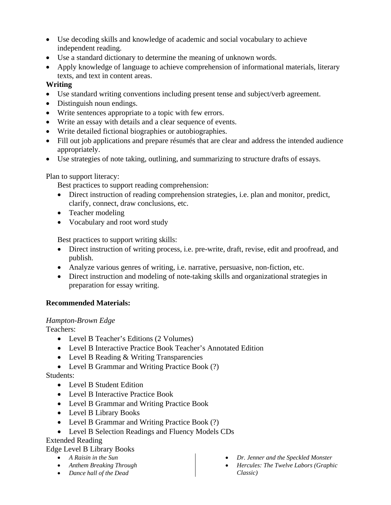- Use decoding skills and knowledge of academic and social vocabulary to achieve independent reading.
- Use a standard dictionary to determine the meaning of unknown words.
- Apply knowledge of language to achieve comprehension of informational materials, literary texts, and text in content areas.

# **Writing**

- Use standard writing conventions including present tense and subject/verb agreement.
- Distinguish noun endings.
- Write sentences appropriate to a topic with few errors.
- Write an essay with details and a clear sequence of events.
- Write detailed fictional biographies or autobiographies.
- Fill out job applications and prepare résumés that are clear and address the intended audience appropriately.
- Use strategies of note taking, outlining, and summarizing to structure drafts of essays.

# Plan to support literacy:

Best practices to support reading comprehension:

- Direct instruction of reading comprehension strategies, i.e. plan and monitor, predict, clarify, connect, draw conclusions, etc.
- Teacher modeling
- Vocabulary and root word study

Best practices to support writing skills:

- Direct instruction of writing process, i.e. pre-write, draft, revise, edit and proofread, and publish.
- Analyze various genres of writing, i.e. narrative, persuasive, non-fiction, etc.
- Direct instruction and modeling of note-taking skills and organizational strategies in preparation for essay writing.

# **Recommended Materials:**

## *Hampton-Brown Edge*

Teachers:

- Level B Teacher's Editions (2 Volumes)
- Level B Interactive Practice Book Teacher's Annotated Edition
- Level B Reading & Writing Transparencies
- Level B Grammar and Writing Practice Book (?)

Students:

- Level B Student Edition
- Level B Interactive Practice Book
- Level B Grammar and Writing Practice Book
- Level B Library Books
- Level B Grammar and Writing Practice Book (?)
- Level B Selection Readings and Fluency Models CDs

# Extended Reading

# Edge Level B Library Books

- *A Raisin in the Sun*
- *Anthem Breaking Through*
- *Dance hall of the Dead*
- *Dr. Jenner and the Speckled Monster*
- *Hercules: The Twelve Labors (Graphic Classic)*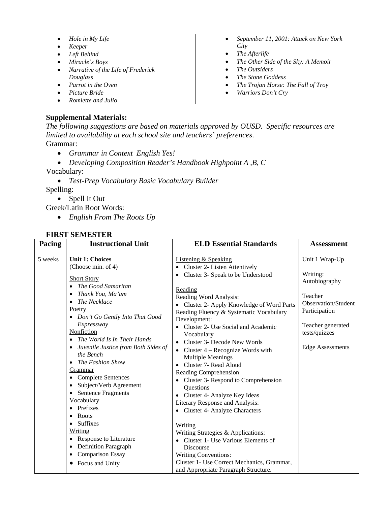- *Hole in My Life*
- *Keeper*
- *Left Behind*
- *Miracle's Boys*
- *Narrative of the Life of Frederick Douglass*
- *Parrot in the Oven*
- *Picture Bride*
- *Romiette and Julio*

#### **Supplemental Materials:**

- *September 11, 2001: Attack on New York City*
- *The Afterlife*
- *The Other Side of the Sky: A Memoir*
- *The Outsiders*
- *The Stone Goddess*
- *The Trojan Horse: The Fall of Troy*
- *Warriors Don't Cry*

*The following suggestions are based on materials approved by OUSD. Specific resources are limited to availability at each school site and teachers' preferences*. Grammar:

- *Grammar in Context English Yes!*
- *Developing Composition Reader's Handbook Highpoint A ,B, C* Vocabulary:
	- *Test-Prep Vocabulary Basic Vocabulary Builder*

Spelling:

• Spell It Out Greek/Latin Root Words:

• *English From The Roots Up*

#### **FIRST SEMESTER**

| Pacing  | <b>Instructional Unit</b>                                                                                                                                                                                                                                                                                                                                                                                                                                                                                | <b>ELD Essential Standards</b>                                                                                                                                                                                                                                                                                                                                                                                                                                                                                                                                                                                                                                      | <b>Assessment</b>                                                                                                                                               |
|---------|----------------------------------------------------------------------------------------------------------------------------------------------------------------------------------------------------------------------------------------------------------------------------------------------------------------------------------------------------------------------------------------------------------------------------------------------------------------------------------------------------------|---------------------------------------------------------------------------------------------------------------------------------------------------------------------------------------------------------------------------------------------------------------------------------------------------------------------------------------------------------------------------------------------------------------------------------------------------------------------------------------------------------------------------------------------------------------------------------------------------------------------------------------------------------------------|-----------------------------------------------------------------------------------------------------------------------------------------------------------------|
| 5 weeks | <b>Unit 1: Choices</b><br>(Choose min. of 4)<br><b>Short Story</b><br>• The Good Samaritan<br>Thank You, Ma'am<br>$\bullet$<br>The Necklace<br>Poetry<br>• Don't Go Gently Into That Good<br>Expressway<br>Nonfiction<br>• The World Is In Their Hands<br>Juvenile Justice from Both Sides of<br>the Bench<br>• The Fashion Show<br>Grammar<br>• Complete Sentences<br>Subject/Verb Agreement<br>$\bullet$<br>• Sentence Fragments<br>Vocabulary<br>$\bullet$ Prefixes<br>Roots<br>• Suffixes<br>Writing | <b>Listening &amp; Speaking</b><br>Cluster 2- Listen Attentively<br>Cluster 3- Speak to be Understood<br>Reading<br>Reading Word Analysis:<br>Cluster 2- Apply Knowledge of Word Parts<br>Reading Fluency & Systematic Vocabulary<br>Development:<br>Cluster 2- Use Social and Academic<br>Vocabulary<br>Cluster 3- Decode New Words<br>Cluster $4 -$ Recognize Words with<br><b>Multiple Meanings</b><br>Cluster 7- Read Aloud<br>Reading Comprehension<br>Cluster 3- Respond to Comprehension<br>Questions<br>Cluster 4- Analyze Key Ideas<br>Literary Response and Analysis:<br>• Cluster 4- Analyze Characters<br>Writing<br>Writing Strategies & Applications: | Unit 1 Wrap-Up<br>Writing:<br>Autobiography<br>Teacher<br>Observation/Student<br>Participation<br>Teacher generated<br>tests/quizzes<br><b>Edge Assessments</b> |
|         | • Response to Literature<br>• Definition Paragraph<br><b>Comparison Essay</b><br>$\bullet$<br>Focus and Unity<br>٠                                                                                                                                                                                                                                                                                                                                                                                       | Cluster 1- Use Various Elements of<br><b>Discourse</b><br><b>Writing Conventions:</b><br>Cluster 1- Use Correct Mechanics, Grammar,<br>and Appropriate Paragraph Structure.                                                                                                                                                                                                                                                                                                                                                                                                                                                                                         |                                                                                                                                                                 |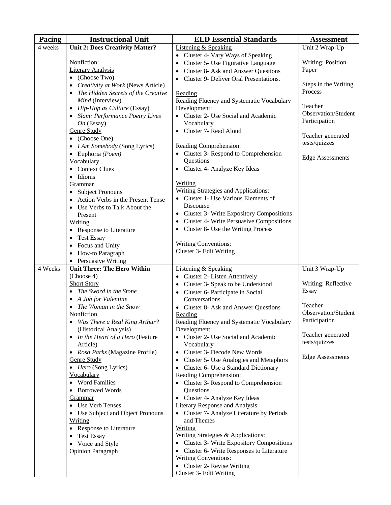| Pacing  | <b>Instructional Unit</b>                                | <b>ELD Essential Standards</b>                                                        | <b>Assessment</b>        |
|---------|----------------------------------------------------------|---------------------------------------------------------------------------------------|--------------------------|
| 4 weeks | <b>Unit 2: Does Creativity Matter?</b>                   | <b>Listening &amp; Speaking</b>                                                       | Unit 2 Wrap-Up           |
|         |                                                          | • Cluster 4- Vary Ways of Speaking                                                    |                          |
|         | Nonfiction:                                              | • Cluster 5- Use Figurative Language                                                  | <b>Writing: Position</b> |
|         | <b>Literary Analysis</b>                                 | Cluster 8- Ask and Answer Questions                                                   | Paper                    |
|         | $\bullet$ (Choose Two)                                   | • Cluster 9- Deliver Oral Presentations.                                              |                          |
|         | Creativity at Work (News Article)<br>$\bullet$           |                                                                                       | Steps in the Writing     |
|         | The Hidden Secrets of the Creative<br>$\bullet$          | Reading                                                                               | Process                  |
|         | Mind (Interview)                                         | Reading Fluency and Systematic Vocabulary                                             | Teacher                  |
|         | Hip-Hop as Culture (Essay)<br>$\bullet$                  | Development:                                                                          | Observation/Student      |
|         | <b>Slam: Performance Poetry Lives</b>                    | • Cluster 2- Use Social and Academic                                                  | Participation            |
|         | $On$ (Essay)<br><b>Genre Study</b>                       | Vocabulary<br>• Cluster 7- Read Aloud                                                 |                          |
|         | (Choose One)<br>$\bullet$                                |                                                                                       | Teacher generated        |
|         | I Am Somebody (Song Lyrics)<br>$\bullet$                 | Reading Comprehension:                                                                | tests/quizzes            |
|         | Euphoria (Poem)<br>$\bullet$                             | • Cluster 3- Respond to Comprehension                                                 |                          |
|         | Vocabulary                                               | Questions                                                                             | <b>Edge Assessments</b>  |
|         | <b>Context Clues</b><br>$\bullet$                        | • Cluster 4- Analyze Key Ideas                                                        |                          |
|         | Idioms<br>$\bullet$                                      |                                                                                       |                          |
|         | Grammar                                                  | Writing                                                                               |                          |
|         | <b>Subject Pronouns</b><br>$\bullet$                     | Writing Strategies and Applications:                                                  |                          |
|         | Action Verbs in the Present Tense<br>$\bullet$           | • Cluster 1- Use Various Elements of                                                  |                          |
|         | Use Verbs to Talk About the<br>$\bullet$                 | Discourse                                                                             |                          |
|         | Present                                                  | • Cluster 3- Write Expository Compositions                                            |                          |
|         | <b>Writing</b>                                           | <b>Cluster 4- Write Persuasive Compositions</b>                                       |                          |
|         | • Response to Literature                                 | • Cluster 8- Use the Writing Process                                                  |                          |
|         | <b>Test Essay</b><br>$\bullet$                           | Writing Conventions:                                                                  |                          |
|         | Focus and Unity<br>$\bullet$                             | Cluster 3- Edit Writing                                                               |                          |
|         | How-to Paragraph<br>$\bullet$<br>• Persuasive Writing    |                                                                                       |                          |
| 4 Weeks | <b>Unit Three: The Hero Within</b>                       | <b>Listening &amp; Speaking</b>                                                       | Unit 3 Wrap-Up           |
|         | (Choose 4)                                               | • Cluster 2- Listen Attentively                                                       |                          |
|         | <b>Short Story</b>                                       | • Cluster 3- Speak to be Understood                                                   | Writing: Reflective      |
|         | The Sword in the Stone<br>$\bullet$                      | • Cluster 6- Participate in Social                                                    | Essay                    |
|         | A Job for Valentine<br>$\bullet$                         | Conversations                                                                         |                          |
|         | The Woman in the Snow                                    | • Cluster 8- Ask and Answer Questions                                                 | Teacher                  |
|         | <b>Nonfiction</b>                                        | Reading                                                                               | Observation/Student      |
|         | Was There a Real King Arthur?                            | Reading Fluency and Systematic Vocabulary                                             | Participation            |
|         | (Historical Analysis)                                    | Development:                                                                          | Teacher generated        |
|         | • In the Heart of a Hero (Feature                        | • Cluster 2- Use Social and Academic                                                  | tests/quizzes            |
|         | Article)<br>Rosa Parks (Magazine Profile)                | Vocabulary<br>• Cluster 3- Decode New Words                                           |                          |
|         | <b>Genre Study</b>                                       | <b>Cluster 5- Use Analogies and Metaphors</b>                                         | <b>Edge Assessments</b>  |
|         | • Hero (Song Lyrics)                                     | Cluster 6- Use a Standard Dictionary<br>$\bullet$                                     |                          |
|         | Vocabulary                                               | Reading Comprehension:                                                                |                          |
|         | <b>Word Families</b><br>$\bullet$                        | • Cluster 3- Respond to Comprehension                                                 |                          |
|         | <b>Borrowed Words</b><br>٠                               | Questions                                                                             |                          |
|         | Grammar                                                  | • Cluster 4- Analyze Key Ideas                                                        |                          |
|         | <b>Use Verb Tenses</b><br>$\bullet$                      | Literary Response and Analysis:                                                       |                          |
|         | Use Subject and Object Pronouns<br>$\bullet$             | • Cluster 7- Analyze Literature by Periods                                            |                          |
|         | Writing                                                  | and Themes                                                                            |                          |
|         | <b>Response to Literature</b><br>$\bullet$               | <b>Writing</b>                                                                        |                          |
|         | <b>Test Essay</b><br>$\bullet$                           | Writing Strategies & Applications:<br><b>Cluster 3- Write Expository Compositions</b> |                          |
|         | Voice and Style<br>$\bullet$<br><b>Opinion Paragraph</b> | • Cluster 6- Write Responses to Literature                                            |                          |
|         |                                                          | <b>Writing Conventions:</b>                                                           |                          |
|         |                                                          | • Cluster 2- Revise Writing                                                           |                          |
|         |                                                          | Cluster 3- Edit Writing                                                               |                          |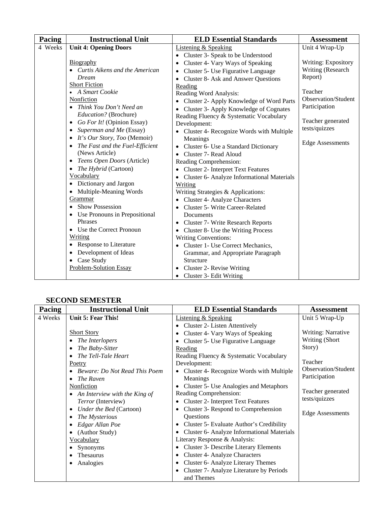| <b>Pacing</b> | <b>Instructional Unit</b>                  | <b>ELD Essential Standards</b>                          | <b>Assessment</b>       |
|---------------|--------------------------------------------|---------------------------------------------------------|-------------------------|
| 4 Weeks       | <b>Unit 4: Opening Doors</b>               | Listening & Speaking                                    | Unit 4 Wrap-Up          |
|               |                                            | • Cluster 3- Speak to be Understood                     |                         |
|               | Biography                                  | Cluster 4- Vary Ways of Speaking                        | Writing: Expository     |
|               | • Curtis Aikens and the American           | Cluster 5- Use Figurative Language<br>$\bullet$         | Writing (Research       |
|               | Dream                                      | Cluster 8- Ask and Answer Questions<br>$\bullet$        | Report)                 |
|               | <b>Short Fiction</b>                       | Reading                                                 |                         |
|               | • A Smart Cookie                           | Reading Word Analysis:                                  | Teacher                 |
|               | Nonfiction                                 | Cluster 2- Apply Knowledge of Word Parts                | Observation/Student     |
|               | • Think You Don't Need an                  | Cluster 3- Apply Knowledge of Cognates                  | Participation           |
|               | Education? (Brochure)                      | Reading Fluency & Systematic Vocabulary                 |                         |
|               | Go For It! (Opinion Essay)<br>$\bullet$    | Development:                                            | Teacher generated       |
|               | Superman and Me (Essay)<br>$\bullet$       | • Cluster 4- Recognize Words with Multiple              | tests/quizzes           |
|               | It's Our Story, Too (Memoir)<br>$\bullet$  | Meanings                                                |                         |
|               | The Fast and the Fuel-Efficient            | Cluster 6- Use a Standard Dictionary                    | <b>Edge Assessments</b> |
|               | (News Article)                             | Cluster 7- Read Aloud<br>$\bullet$                      |                         |
|               | Teens Open Doors (Article)<br>$\bullet$    | Reading Comprehension:                                  |                         |
|               | <i>The Hybrid</i> (Cartoon)                | <b>Cluster 2- Interpret Text Features</b>               |                         |
|               | Vocabulary                                 | Cluster 6- Analyze Informational Materials<br>$\bullet$ |                         |
|               | Dictionary and Jargon                      | Writing                                                 |                         |
|               | Multiple-Meaning Words<br>$\bullet$        | Writing Strategies & Applications:                      |                         |
|               | Grammar                                    | <b>Cluster 4- Analyze Characters</b>                    |                         |
|               | <b>Show Possession</b>                     | <b>Cluster 5- Write Career-Related</b>                  |                         |
|               | Use Pronouns in Prepositional<br>$\bullet$ | Documents                                               |                         |
|               | Phrases                                    | <b>Cluster 7- Write Research Reports</b><br>٠           |                         |
|               | • Use the Correct Pronoun                  | Cluster 8- Use the Writing Process                      |                         |
|               | Writing                                    | <b>Writing Conventions:</b>                             |                         |
|               | Response to Literature<br>٠                | Cluster 1- Use Correct Mechanics,                       |                         |
|               | Development of Ideas                       | Grammar, and Appropriate Paragraph                      |                         |
|               | Case Study<br>$\bullet$                    | Structure                                               |                         |
|               | Problem-Solution Essay                     | Cluster 2- Revise Writing                               |                         |
|               |                                            | Cluster 3- Edit Writing<br>$\bullet$                    |                         |

### **SECOND SEMESTER**

| Pacing  | <b>Instructional Unit</b>            | <b>ELD Essential Standards</b>                         | Assessment                |
|---------|--------------------------------------|--------------------------------------------------------|---------------------------|
| 4 Weeks | Unit 5: Fear This!                   | <b>Listening &amp; Speaking</b>                        | Unit 5 Wrap-Up            |
|         |                                      | • Cluster 2- Listen Attentively                        |                           |
|         | <b>Short Story</b>                   | Cluster 4- Vary Ways of Speaking                       | <b>Writing: Narrative</b> |
|         | The Interlopers                      | Cluster 5- Use Figurative Language                     | Writing (Short            |
|         | The Baby-Sitter<br>$\bullet$         | Reading                                                | Story)                    |
|         | The Tell-Tale Heart                  | Reading Fluency & Systematic Vocabulary                |                           |
|         | <u>Poetry</u>                        | Development:                                           | Teacher                   |
|         | <b>Beware: Do Not Read This Poem</b> | • Cluster 4- Recognize Words with Multiple             | Observation/Student       |
|         | The Raven<br>$\bullet$               | Meanings                                               | Participation             |
|         | Nonfiction                           | Cluster 5- Use Analogies and Metaphors                 |                           |
|         | An Interview with the King of        | Reading Comprehension:                                 | Teacher generated         |
|         | <i>Terror</i> (Interview)            | <b>Cluster 2- Interpret Text Features</b><br>$\bullet$ | tests/quizzes             |
|         | Under the Bed (Cartoon)<br>$\bullet$ | Cluster 3- Respond to Comprehension                    |                           |
|         | The Mysterious<br>$\bullet$          | Questions                                              | <b>Edge Assessments</b>   |
|         | Edgar Allan Poe                      | • Cluster 5- Evaluate Author's Credibility             |                           |
|         | (Author Study)                       | Cluster 6- Analyze Informational Materials             |                           |
|         | Vocabulary                           | Literary Response & Analysis:                          |                           |
|         | Synonyms                             | <b>Cluster 3- Describe Literary Elements</b>           |                           |
|         | <b>Thesaurus</b><br>٠                | Cluster 4- Analyze Characters                          |                           |
|         | Analogies<br>٠                       | Cluster 6- Analyze Literary Themes                     |                           |
|         |                                      | Cluster 7- Analyze Literature by Periods               |                           |
|         |                                      | and Themes                                             |                           |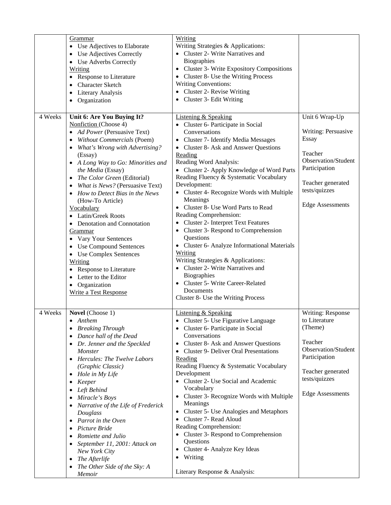|         | Grammar<br>Use Adjectives to Elaborate<br>Use Adjectives Correctly<br>$\bullet$<br>• Use Adverbs Correctly<br>Writing<br>• Response to Literature<br><b>Character Sketch</b><br>$\bullet$<br>Literary Analysis<br>$\bullet$<br>Organization                                                                                                                                                                                                                                                                                                                                                                                                      | Writing<br>Writing Strategies & Applications:<br>• Cluster 2- Write Narratives and<br>Biographies<br>• Cluster 3- Write Expository Compositions<br>• Cluster 8- Use the Writing Process<br><b>Writing Conventions:</b><br>• Cluster 2- Revise Writing<br>• Cluster 3- Edit Writing                                                                                                                                                                                                                                                                                                                                                                                                                                                                                                               |                                                                                                                                                                    |
|---------|--------------------------------------------------------------------------------------------------------------------------------------------------------------------------------------------------------------------------------------------------------------------------------------------------------------------------------------------------------------------------------------------------------------------------------------------------------------------------------------------------------------------------------------------------------------------------------------------------------------------------------------------------|--------------------------------------------------------------------------------------------------------------------------------------------------------------------------------------------------------------------------------------------------------------------------------------------------------------------------------------------------------------------------------------------------------------------------------------------------------------------------------------------------------------------------------------------------------------------------------------------------------------------------------------------------------------------------------------------------------------------------------------------------------------------------------------------------|--------------------------------------------------------------------------------------------------------------------------------------------------------------------|
| 4 Weeks | Unit 6: Are You Buying It?<br>Nonfiction (Choose 4)<br>• Ad Power (Persuasive Text)<br><b>Without Commercials (Poem)</b><br>What's Wrong with Advertising?<br>(Essay)<br>• A Long Way to Go: Minorities and<br>the Media (Essay)<br>• The Color Green (Editorial)<br>What is News? (Persuasive Text)<br>How to Detect Bias in the News<br>(How-To Article)<br>Vocabulary<br>• Latin/Greek Roots<br>• Denotation and Connotation<br>Grammar<br>• Vary Your Sentences<br>• Use Compound Sentences<br>• Use Complex Sentences<br>Writing<br>• Response to Literature<br>• Letter to the Editor<br>Organization<br>٠<br><b>Write a Test Response</b> | <b>Listening &amp; Speaking</b><br>• Cluster 6- Participate in Social<br>Conversations<br>• Cluster 7- Identify Media Messages<br>• Cluster 8- Ask and Answer Questions<br>Reading<br>Reading Word Analysis:<br>• Cluster 2- Apply Knowledge of Word Parts<br>Reading Fluency & Systematic Vocabulary<br>Development:<br>• Cluster 4- Recognize Words with Multiple<br>Meanings<br>• Cluster 8- Use Word Parts to Read<br>Reading Comprehension:<br>• Cluster 2- Interpret Text Features<br>• Cluster 3- Respond to Comprehension<br>Questions<br>• Cluster 6- Analyze Informational Materials<br><b>Writing</b><br>Writing Strategies & Applications:<br>• Cluster 2- Write Narratives and<br>Biographies<br>Cluster 5- Write Career-Related<br>Documents<br>Cluster 8- Use the Writing Process | Unit 6 Wrap-Up<br>Writing: Persuasive<br>Essay<br>Teacher<br>Observation/Student<br>Participation<br>Teacher generated<br>tests/quizzes<br><b>Edge Assessments</b> |
| 4 Weeks | Novel (Choose 1)<br>Anthem<br><b>Breaking Through</b><br>Dance hall of the Dead<br>٠<br>Dr. Jenner and the Speckled<br>Monster<br><b>Hercules: The Twelve Labors</b><br>$\bullet$<br>(Graphic Classic)<br>Hole in My Life<br>$\bullet$<br>Keeper<br>٠<br>Left Behind<br>٠<br>Miracle's Boys<br>٠<br>Narrative of the Life of Frederick<br>Douglass<br>Parrot in the Oven<br>$\bullet$<br>Picture Bride<br>٠<br>Romiette and Julio<br>September 11, 2001: Attack on<br>New York City<br>The Afterlife<br>$\bullet$<br>The Other Side of the Sky: A<br>Memoir                                                                                      | <b>Listening &amp; Speaking</b><br>Cluster 5- Use Figurative Language<br>Cluster 6- Participate in Social<br>Conversations<br>Cluster 8- Ask and Answer Questions<br><b>Cluster 9- Deliver Oral Presentations</b><br>Reading<br>Reading Fluency & Systematic Vocabulary<br>Development<br>• Cluster 2- Use Social and Academic<br>Vocabulary<br>• Cluster 3- Recognize Words with Multiple<br>Meanings<br>• Cluster 5- Use Analogies and Metaphors<br>• Cluster 7- Read Aloud<br>Reading Comprehension:<br>• Cluster 3- Respond to Comprehension<br>Questions<br>• Cluster 4- Analyze Key Ideas<br>• Writing<br>Literary Response & Analysis:                                                                                                                                                    | Writing: Response<br>to Literature<br>(Theme)<br>Teacher<br>Observation/Student<br>Participation<br>Teacher generated<br>tests/quizzes<br><b>Edge Assessments</b>  |